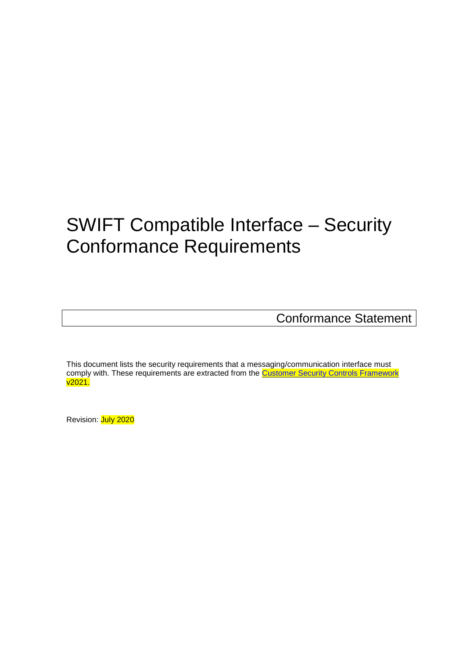# <span id="page-0-0"></span>SWIFT Compatible Interface – Security Conformance Requirements

Conformance Statement

This document lists the security requirements that a messaging/communication interface must comply with. These requirements are extracted from the **Customer Security Controls Framework** v2021.

Revision: July 2020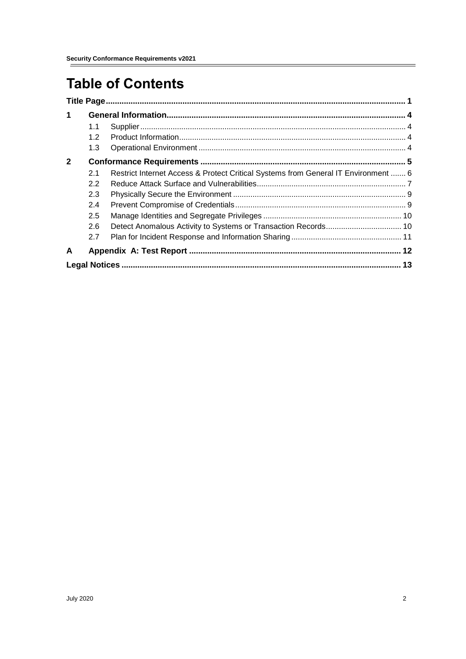# **Table of Contents**

| $\blacktriangleleft$ |     |                                                                                    |  |
|----------------------|-----|------------------------------------------------------------------------------------|--|
|                      | 1.1 |                                                                                    |  |
|                      | 1.2 |                                                                                    |  |
|                      | 1.3 |                                                                                    |  |
| $\mathbf{2}$         |     |                                                                                    |  |
|                      | 2.1 | Restrict Internet Access & Protect Critical Systems from General IT Environment  6 |  |
|                      | 2.2 |                                                                                    |  |
|                      | 2.3 |                                                                                    |  |
|                      | 2.4 |                                                                                    |  |
|                      | 2.5 |                                                                                    |  |
|                      | 2.6 |                                                                                    |  |
|                      | 2.7 |                                                                                    |  |
| A                    |     |                                                                                    |  |
|                      |     |                                                                                    |  |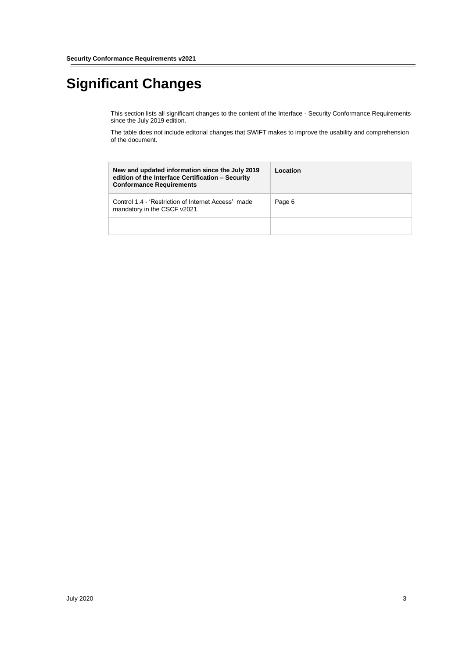# **Significant Changes**

This section lists all significant changes to the content of the Interface - Security Conformance Requirements since the July 2019 edition.

The table does not include editorial changes that SWIFT makes to improve the usability and comprehension of the document.

| New and updated information since the July 2019<br>edition of the Interface Certification - Security<br><b>Conformance Requirements</b> | Location |
|-----------------------------------------------------------------------------------------------------------------------------------------|----------|
| Control 1.4 - 'Restriction of Internet Access' made<br>mandatory in the CSCF v2021                                                      | Page 6   |
|                                                                                                                                         |          |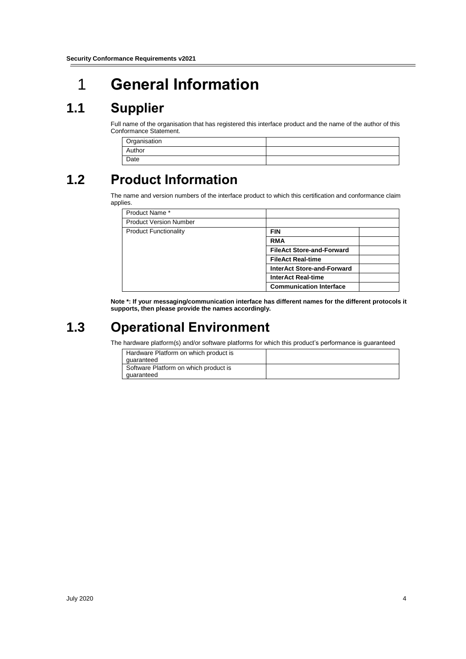# <span id="page-3-0"></span>1 **General Information**

### <span id="page-3-1"></span>**1.1 Supplier**

Full name of the organisation that has registered this interface product and the name of the author of this Conformance Statement.

| Organisation |  |
|--------------|--|
| Author       |  |
| Date         |  |

# <span id="page-3-2"></span>**1.2 Product Information**

The name and version numbers of the interface product to which this certification and conformance claim applies.

| Product Name*                 |                                   |
|-------------------------------|-----------------------------------|
| <b>Product Version Number</b> |                                   |
| <b>Product Functionality</b>  | <b>FIN</b>                        |
|                               | <b>RMA</b>                        |
|                               | <b>FileAct Store-and-Forward</b>  |
|                               | <b>FileAct Real-time</b>          |
|                               | <b>InterAct Store-and-Forward</b> |
|                               | <b>InterAct Real-time</b>         |
|                               | <b>Communication Interface</b>    |

**Note \*: If your messaging/communication interface has different names for the different protocols it supports, then please provide the names accordingly.**

### <span id="page-3-3"></span>**1.3 Operational Environment**

The hardware platform(s) and/or software platforms for which this product's performance is guaranteed

| Hardware Platform on which product is |  |
|---------------------------------------|--|
| quaranteed                            |  |
| Software Platform on which product is |  |
| quaranteed                            |  |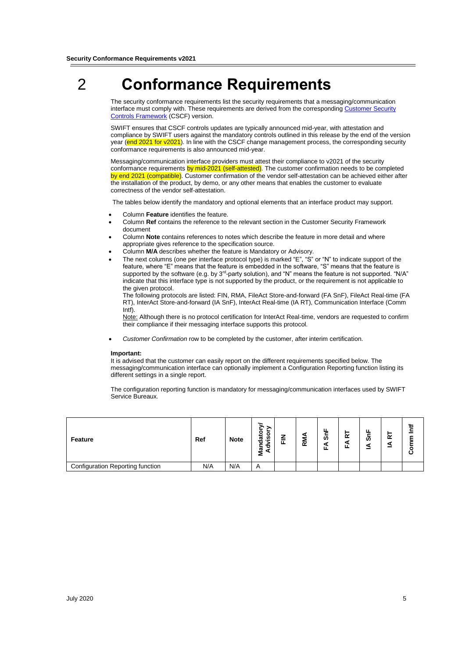# <span id="page-4-0"></span>2 **Conformance Requirements**

The security conformance requirements list the security requirements that a messaging/communication interface must comply with. These requirements are derived from the correspondin[g Customer Security](https://www2.swift.com/knowledgecentre/publications/cscf_dd/17.0) [Controls Framework](https://www2.swift.com/knowledgecentre/publications/cscf_dd/17.0) (CSCF) version.

SWIFT ensures that CSCF controls updates are typically announced mid-year, with attestation and compliance by SWIFT users against the mandatory controls outlined in this release by the end of the version year (end 2021 for v2021). In line with the CSCF change management process, the corresponding security conformance requirements is also announced mid-year.

Messaging/communication interface providers must attest their compliance to v2021 of the security conformance requirements by mid-2021 (self-attested). The customer confirmation needs to be completed by end 2021 (compatible). Customer confirmation of the vendor self-attestation can be achieved either after the installation of the product, by demo, or any other means that enables the customer to evaluate correctness of the vendor self-attestation.

The tables below identify the mandatory and optional elements that an interface product may support.

- Column **Feature** identifies the feature.
- Column **Ref** contains the reference to the relevant section in the Customer Security Framework document
- Column **Note** contains references to notes which describe the feature in more detail and where appropriate gives reference to the specification source.
- Column **M/A** describes whether the feature is Mandatory or Advisory.
- The next columns (one per interface protocol type) is marked "E", "S" or "N" to indicate support of the feature, where "E" means that the feature is embedded in the software, "S" means that the feature is supported by the software (e.g. by 3<sup>rd</sup>-party solution), and "N" means the feature is not supported. "N/A" indicate that this interface type is not supported by the product, or the requirement is not applicable to the given protocol.

The following protocols are listed: FIN, RMA, FileAct Store-and-forward (FA SnF), FileAct Real-time (FA RT), InterAct Store-and-forward (IA SnF), InterAct Real-time (IA RT), Communication Interface (Comm Intf).

Note: Although there is no protocol certification for InterAct Real-time, vendors are requested to confirm their compliance if their messaging interface supports this protocol.

*Customer Confirmation* row to be completed by the customer, after interim certification.

#### **Important:**

It is advised that the customer can easily report on the different requirements specified below. The messaging/communication interface can optionally implement a Configuration Reporting function listing its different settings in a single report.

The configuration reporting function is mandatory for messaging/communication interfaces used by SWIFT Service Bureaux.

| Feature                          | Ref | <b>Note</b> | o<br>o<br>ಕ<br>ە.<br>ಕ<br>ъ<br>-<br>ᢎ<br>а<br>╾<br>2 | -<br>▃<br>-<br>匤 | ⋍<br>$\alpha$ | ш.<br>ທັ<br>ш | ≃ | ശ | ≃ |  |
|----------------------------------|-----|-------------|------------------------------------------------------|------------------|---------------|---------------|---|---|---|--|
| Configuration Reporting function | N/A | N/A         | $\overline{A}$                                       |                  |               |               |   |   |   |  |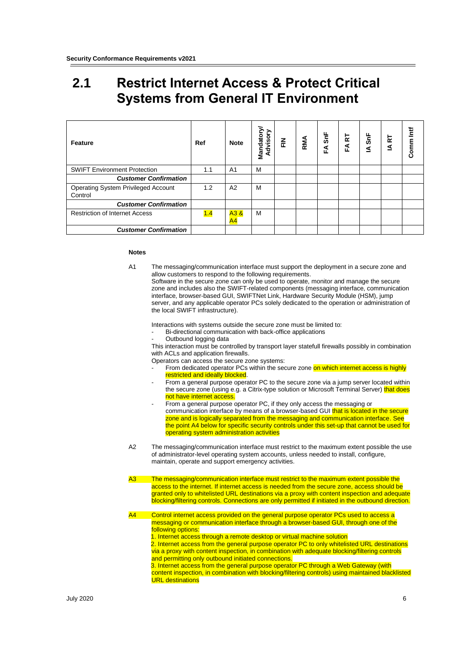### <span id="page-5-0"></span>**2.1 Restrict Internet Access & Protect Critical Systems from General IT Environment**

| Feature                                               | Ref | <b>Note</b>    | Mandatory<br>Advisory | 즢 | RMA | FA SnF | k<br>ÉÁ | $\frac{1}{2}$<br>⋖ | 넚<br>₹ | Comm Intf |
|-------------------------------------------------------|-----|----------------|-----------------------|---|-----|--------|---------|--------------------|--------|-----------|
| <b>SWIFT Environment Protection</b>                   | 1.1 | A <sub>1</sub> | м                     |   |     |        |         |                    |        |           |
| <b>Customer Confirmation</b>                          |     |                |                       |   |     |        |         |                    |        |           |
| <b>Operating System Privileged Account</b><br>Control | 1.2 | A <sub>2</sub> | м                     |   |     |        |         |                    |        |           |
| <b>Customer Confirmation</b>                          |     |                |                       |   |     |        |         |                    |        |           |
| <b>Restriction of Internet Access</b>                 | 1.4 | A3&<br>A4      | M                     |   |     |        |         |                    |        |           |
| <b>Customer Confirmation</b>                          |     |                |                       |   |     |        |         |                    |        |           |

#### **Notes**

A1 The messaging/communication interface must support the deployment in a secure zone and allow customers to respond to the following requirements.

Software in the secure zone can only be used to operate, monitor and manage the secure zone and includes also the SWIFT-related components (messaging interface, communication interface, browser-based GUI, SWIFTNet Link, Hardware Security Module (HSM), jump server, and any applicable operator PCs solely dedicated to the operation or administration of the local SWIFT infrastructure).

Interactions with systems outside the secure zone must be limited to:

- Bi-directional communication with back-office applications
- Outbound logging data

This interaction must be controlled by transport layer statefull firewalls possibly in combination with ACLs and application firewalls.

Operators can access the secure zone systems:

- From dedicated operator PCs within the secure zone on which internet access is highly restricted and ideally blocked
- From a general purpose operator PC to the secure zone via a jump server located within the secure zone (using e.g. a Citrix-type solution or Microsoft Terminal Server) that does not have internet access.
- From a general purpose operator PC, if they only access the messaging or communication interface by means of a browser-based GUI that is located in the secure zone and is logically separated from the messaging and communication interface. See the point A4 below for specific security controls under this set-up that cannot be used for operating system administration activities
- A2 The messaging/communication interface must restrict to the maximum extent possible the use of administrator-level operating system accounts, unless needed to install, configure, maintain, operate and support emergency activities.
- The messaging/communication interface must restrict to the maximum extent possible the access to the internet. If internet access is needed from the secure zone, access should be granted only to whitelisted URL destinations via a proxy with content inspection and adequate blocking/filtering controls. Connections are only permitted if initiated in the outbound direction.
- A4 Control internet access provided on the general purpose operator PCs used to access a messaging or communication interface through a browser-based GUI, through one of the following options: 1. Internet access through a remote desktop or virtual machine solution
	- 2. Internet access from the general purpose operator PC to only whitelisted URL destinations via a proxy with content inspection, in combination with adequate blocking/filtering controls and permitting only outbound initiated connections.
	- 3. Internet access from the general purpose operator PC through a Web Gateway (with content inspection, in combination with blocking/filtering controls) using maintained blacklisted **URL** destinations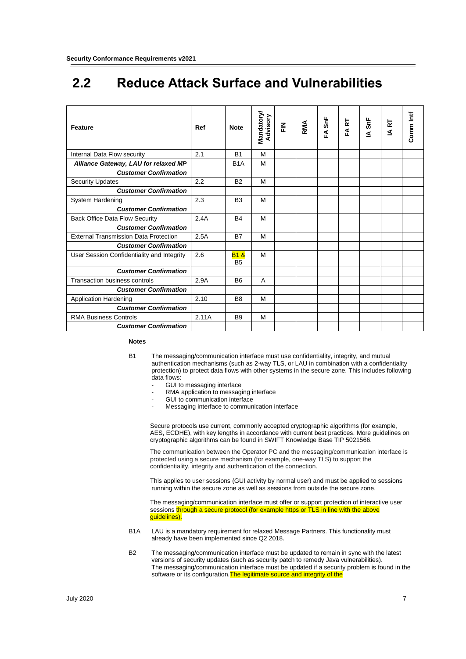### <span id="page-6-0"></span>**2.2 Reduce Attack Surface and Vulnerabilities**

| <b>Feature</b>                               | Ref   | <b>Note</b>                      | Mandatory/<br>Advisory | <u>준</u> | RMA | FA SnF | <b>FART</b> | IA SnF | <b>IART</b> | Comm Intf |
|----------------------------------------------|-------|----------------------------------|------------------------|----------|-----|--------|-------------|--------|-------------|-----------|
| Internal Data Flow security                  | 2.1   | <b>B1</b>                        | M                      |          |     |        |             |        |             |           |
| Alliance Gateway, LAU for relaxed MP         |       | B <sub>1</sub> A                 | M                      |          |     |        |             |        |             |           |
| <b>Customer Confirmation</b>                 |       |                                  |                        |          |     |        |             |        |             |           |
| <b>Security Updates</b>                      | 2.2   | <b>B2</b>                        | M                      |          |     |        |             |        |             |           |
| <b>Customer Confirmation</b>                 |       |                                  |                        |          |     |        |             |        |             |           |
| System Hardening                             | 2.3   | B <sub>3</sub>                   | M                      |          |     |        |             |        |             |           |
| <b>Customer Confirmation</b>                 |       |                                  |                        |          |     |        |             |        |             |           |
| <b>Back Office Data Flow Security</b>        | 2.4A  | R <sub>4</sub>                   | м                      |          |     |        |             |        |             |           |
| <b>Customer Confirmation</b>                 |       |                                  |                        |          |     |        |             |        |             |           |
| <b>External Transmission Data Protection</b> | 2.5A  | <b>B7</b>                        | м                      |          |     |        |             |        |             |           |
| <b>Customer Confirmation</b>                 |       |                                  |                        |          |     |        |             |        |             |           |
| User Session Confidentiality and Integrity   | 2.6   | <b>B1&amp;</b><br>B <sub>5</sub> | м                      |          |     |        |             |        |             |           |
| <b>Customer Confirmation</b>                 |       |                                  |                        |          |     |        |             |        |             |           |
| <b>Transaction business controls</b>         | 2.9A  | <b>B6</b>                        | A                      |          |     |        |             |        |             |           |
| <b>Customer Confirmation</b>                 |       |                                  |                        |          |     |        |             |        |             |           |
| <b>Application Hardening</b>                 | 2.10  | B <sub>8</sub>                   | M                      |          |     |        |             |        |             |           |
| <b>Customer Confirmation</b>                 |       |                                  |                        |          |     |        |             |        |             |           |
| <b>RMA Business Controls</b>                 | 2.11A | <b>B9</b>                        | M                      |          |     |        |             |        |             |           |
| <b>Customer Confirmation</b>                 |       |                                  |                        |          |     |        |             |        |             |           |

#### **Notes**

- B1 The messaging/communication interface must use confidentiality, integrity, and mutual authentication mechanisms (such as 2-way TLS, or LAU in combination with a confidentiality protection) to protect data flows with other systems in the secure zone. This includes following data flows:
	- GUI to messaging interface
	- RMA application to messaging interface
	- GUI to communication interface
	- Messaging interface to communication interface

Secure protocols use current, commonly accepted cryptographic algorithms (for example, AES, ECDHE), with key lengths in accordance with current best practices. More guidelines on cryptographic algorithms can be found in SWIFT Knowledge Base TIP 5021566.

The communication between the Operator PC and the messaging/communication interface is protected using a secure mechanism (for example, one-way TLS) to support the confidentiality, integrity and authentication of the connection.

This applies to user sessions (GUI activity by normal user) and must be applied to sessions running within the secure zone as well as sessions from outside the secure zone.

The messaging/communication interface must offer or support protection of interactive user sessions through a secure protocol (for example https or TLS in line with the above guidelines).

- B1A LAU is a mandatory requirement for relaxed Message Partners. This functionality must already have been implemented since Q2 2018.
- B2 The messaging/communication interface must be updated to remain in sync with the latest versions of security updates (such as security patch to remedy Java vulnerabilities). The messaging/communication interface must be updated if a security problem is found in the software or its configuration. The legitimate source and integrity of the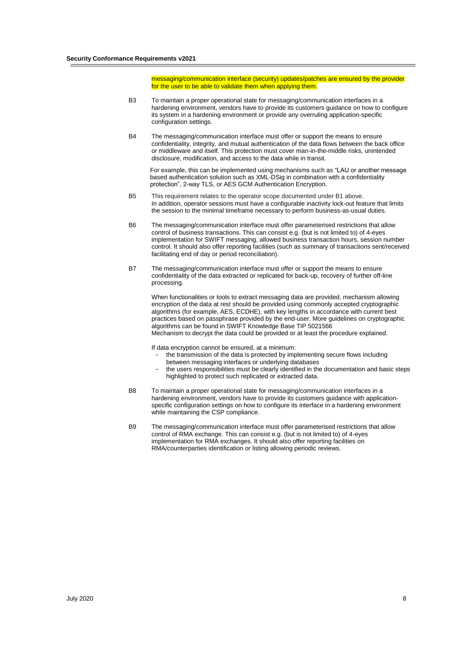messaging/communication interface (security) updates/patches are ensured by the provider for the user to be able to validate them when applying them.

- B3 To maintain a proper operational state for messaging/communication interfaces in a hardening environment, vendors have to provide its customers guidance on how to configure its system in a hardening environment or provide any overruling application-specific configuration settings.
- B4 The messaging/communication interface must offer or support the means to ensure confidentiality, integrity, and mutual authentication of the data flows between the back office or middleware and itself. This protection must cover man-in-the-middle risks, unintended disclosure, modification, and access to the data while in transit.

For example, this can be implemented using mechanisms such as "LAU or another message based authentication solution such as XML-DSig in combination with a confidentiality protection", 2-way TLS, or AES GCM Authentication Encryption.

- B5 This requirement relates to the operator scope documented under B1 above. In addition, operator sessions must have a configurable inactivity lock-out feature that limits the session to the minimal timeframe necessary to perform business-as-usual duties.
- B6 The messaging/communication interface must offer parameterised restrictions that allow control of business transactions. This can consist e.g. (but is not limited to) of 4-eyes implementation for SWIFT messaging, allowed business transaction hours, session number control. It should also offer reporting facilities (such as summary of transactions sent/received facilitating end of day or period reconciliation).
- B7 The messaging/communication interface must offer or support the means to ensure confidentiality of the data extracted or replicated for back-up, recovery of further off-line processing.

When functionalities or tools to extract messaging data are provided, mechanism allowing encryption of the data at rest should be provided using commonly accepted cryptographic algorithms (for example, AES, ECDHE), with key lengths in accordance with current best practices based on passphrase provided by the end-user. More guidelines on cryptographic algorithms can be found in SWIFT Knowledge Base TIP 5021566 Mechanism to decrypt the data could be provided or at least the procedure explained.

If data encryption cannot be ensured, at a minimum:

- the transmission of the data is protected by implementing secure flows including between messaging interfaces or underlying databases
- the users responsibilities must be clearly identified in the documentation and basic steps highlighted to protect such replicated or extracted data.
- B8 To maintain a proper operational state for messaging/communication interfaces in a hardening environment, vendors have to provide its customers guidance with applicationspecific configuration settings on how to configure its interface in a hardening environment while maintaining the CSP compliance.
- B9 The messaging/communication interface must offer parameterised restrictions that allow control of RMA exchange. This can consist e.g. (but is not limited to) of 4-eyes implementation for RMA exchanges. It should also offer reporting facilities on RMA/counterparties identification or listing allowing periodic reviews.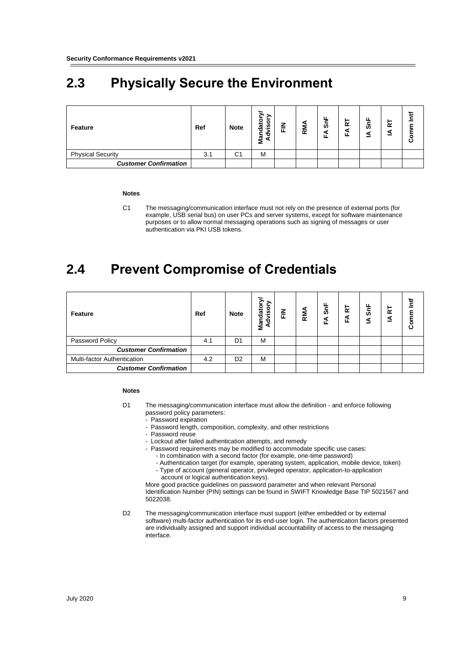## <span id="page-8-0"></span>**2.3 Physically Secure the Environment**

| Feature                      | Ref | <b>Note</b>    | $\overline{\mathbf{so}}$<br>đ<br>Ź<br>Nar | Ζ<br>匝 | <b>RM</b> | ட<br>ູລົ<br>ш. | $\alpha$<br>ш | တ | 퉡<br>વ<br>- |  |
|------------------------------|-----|----------------|-------------------------------------------|--------|-----------|----------------|---------------|---|-------------|--|
| <b>Physical Security</b>     | 3.1 | C <sub>1</sub> | M                                         |        |           |                |               |   |             |  |
| <b>Customer Confirmation</b> |     |                |                                           |        |           |                |               |   |             |  |

#### **Notes**

C1 The messaging/communication interface must not rely on the presence of external ports (for example, USB serial bus) on user PCs and server systems, except for software maintenance purposes or to allow normal messaging operations such as signing of messages or user authentication via PKI USB tokens.

### <span id="page-8-1"></span>**2.4 Prevent Compromise of Credentials**

| Feature                      | Ref | <b>Note</b>    | Advisory<br>Mandator | 즢 | RMA | $\frac{1}{5}$<br>ะี | 눈<br>ш | ட<br>శ్ | 늍<br>⊴ |  |
|------------------------------|-----|----------------|----------------------|---|-----|---------------------|--------|---------|--------|--|
| Password Policy              | 4.1 | D <sub>1</sub> | М                    |   |     |                     |        |         |        |  |
| <b>Customer Confirmation</b> |     |                |                      |   |     |                     |        |         |        |  |
| Multi-factor Authentication  | 4.2 | D <sub>2</sub> | М                    |   |     |                     |        |         |        |  |
| <b>Customer Confirmation</b> |     |                |                      |   |     |                     |        |         |        |  |

#### **Notes**

- D1 The messaging/communication interface must allow the definition and enforce following password policy parameters:
	- Password expiration
	- Password length, composition, complexity, and other restrictions
	- Password reuse
	- Lockout after failed authentication attempts, and remedy
	- Password requirements may be modified to accommodate specific use cases:
		- In combination with a second factor (for example, one-time password)
		- Authentication target (for example, operating system, application, mobile device, token) - Type of account (general operator, privileged operator, application-to-application account or logical authentication keys).

More good practice guidelines on password parameter and when relevant Personal Identification Number (PIN) settings can be found in SWIFT Knowledge Base TIP 5021567 and 5022038.

D2 The messaging/communication interface must support (either embedded or by external software) multi-factor authentication for its end-user login. The authentication factors presented are individually assigned and support individual accountability of access to the messaging interface.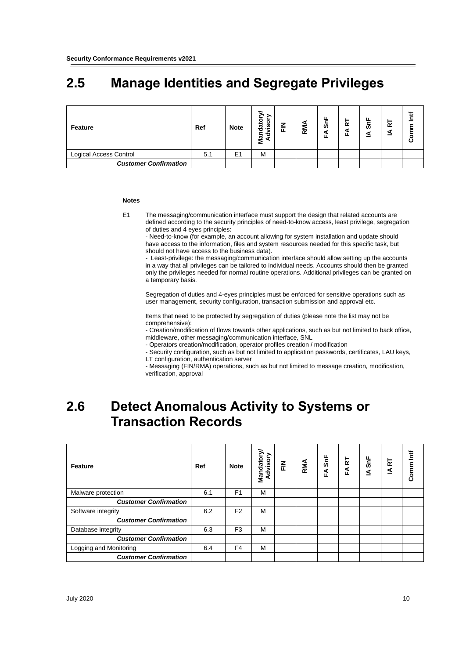# <span id="page-9-0"></span>**2.5 Manage Identities and Segregate Privileges**

| Feature                      | Ref | <b>Note</b>    | ەs.<br>這<br>о<br>ᄒ<br>Nar<br>◢ | 즢 | RM. | ட<br>ູລົ<br>ш | $\alpha$ | ທັ | 균 |  |
|------------------------------|-----|----------------|--------------------------------|---|-----|---------------|----------|----|---|--|
| Logical Access Control       | 5.1 | E <sub>1</sub> | М                              |   |     |               |          |    |   |  |
| <b>Customer Confirmation</b> |     |                |                                |   |     |               |          |    |   |  |

#### **Notes**

E1 The messaging/communication interface must support the design that related accounts are defined according to the security principles of need-to-know access, least privilege, segregation of duties and 4 eyes principles:

- Need-to-know (for example, an account allowing for system installation and update should have access to the information, files and system resources needed for this specific task, but should not have access to the business data).

- Least-privilege: the messaging/communication interface should allow setting up the accounts in a way that all privileges can be tailored to individual needs. Accounts should then be granted only the privileges needed for normal routine operations. Additional privileges can be granted on a temporary basis.

Segregation of duties and 4-eyes principles must be enforced for sensitive operations such as user management, security configuration, transaction submission and approval etc.

Items that need to be protected by segregation of duties (please note the list may not be comprehensive):

- Creation/modification of flows towards other applications, such as but not limited to back office, middleware, other messaging/communication interface, SNL

- Operators creation/modification, operator profiles creation / modification

- Security configuration, such as but not limited to application passwords, certificates, LAU keys, LT configuration, authentication server

- Messaging (FIN/RMA) operations, such as but not limited to message creation, modification, verification, approval

### <span id="page-9-1"></span>**2.6 Detect Anomalous Activity to Systems or Transaction Records**

| Feature                      | Ref | <b>Note</b>    | <b>Mandatory</b><br>Advisory | ▏⋶ | RMA | $\mathsf{SnF}$<br>EÁ | <b>R</b><br>FÁ | $\frac{5}{10}$<br>≤ | <b>IART</b> | Ì۳<br>Comm |
|------------------------------|-----|----------------|------------------------------|----|-----|----------------------|----------------|---------------------|-------------|------------|
| Malware protection           | 6.1 | F <sub>1</sub> | М                            |    |     |                      |                |                     |             |            |
| <b>Customer Confirmation</b> |     |                |                              |    |     |                      |                |                     |             |            |
| Software integrity           | 6.2 | F <sub>2</sub> | м                            |    |     |                      |                |                     |             |            |
| <b>Customer Confirmation</b> |     |                |                              |    |     |                      |                |                     |             |            |
| Database integrity           | 6.3 | F <sub>3</sub> | М                            |    |     |                      |                |                     |             |            |
| <b>Customer Confirmation</b> |     |                |                              |    |     |                      |                |                     |             |            |
| Logging and Monitoring       | 6.4 | F <sub>4</sub> | M                            |    |     |                      |                |                     |             |            |
| <b>Customer Confirmation</b> |     |                |                              |    |     |                      |                |                     |             |            |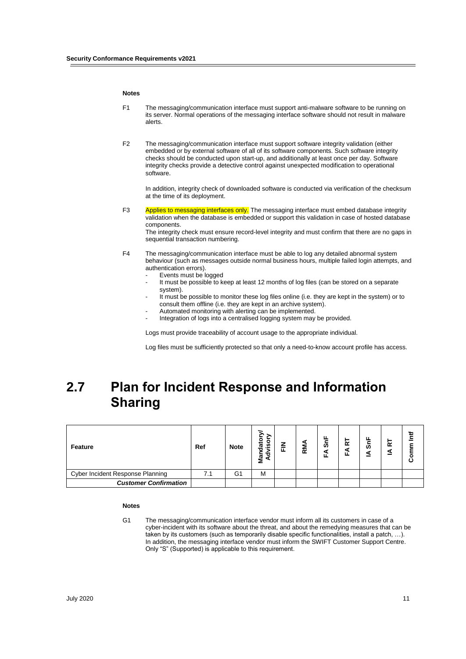#### **Notes**

- F1 The messaging/communication interface must support anti-malware software to be running on its server. Normal operations of the messaging interface software should not result in malware alerts.
- F2 The messaging/communication interface must support software integrity validation (either embedded or by external software of all of its software components. Such software integrity checks should be conducted upon start-up, and additionally at least once per day. Software integrity checks provide a detective control against unexpected modification to operational software.

In addition, integrity check of downloaded software is conducted via verification of the checksum at the time of its deployment.

F3 Applies to messaging interfaces only. The messaging interface must embed database integrity validation when the database is embedded or support this validation in case of hosted database components. The integrity check must ensure record-level integrity and must confirm that there are no gaps in

sequential transaction numbering.

- F4 The messaging/communication interface must be able to log any detailed abnormal system behaviour (such as messages outside normal business hours, multiple failed login attempts, and authentication errors).
	- Events must be logged
	- It must be possible to keep at least 12 months of log files (can be stored on a separate system).
	- It must be possible to monitor these log files online (i.e. they are kept in the system) or to consult them offline (i.e. they are kept in an archive system).
	- Automated monitoring with alerting can be implemented.
	- Integration of logs into a centralised logging system may be provided.

Logs must provide traceability of account usage to the appropriate individual.

Log files must be sufficiently protected so that only a need-to-know account profile has access.

### <span id="page-10-0"></span>**2.7 Plan for Incident Response and Information Sharing**

| Feature                          | Ref | <b>Note</b> | ္တ<br>লৈ<br>ъ<br>Nar<br>◢ | 즢 | Σ<br>$\alpha$ | $\frac{1}{2}$<br>ш | œ | ທັ | $\propto$ |  |
|----------------------------------|-----|-------------|---------------------------|---|---------------|--------------------|---|----|-----------|--|
| Cyber Incident Response Planning | 7.1 | G1          | М                         |   |               |                    |   |    |           |  |
| <b>Customer Confirmation</b>     |     |             |                           |   |               |                    |   |    |           |  |

#### **Notes**

G1 The messaging/communication interface vendor must inform all its customers in case of a cyber-incident with its software about the threat, and about the remedying measures that can be taken by its customers (such as temporarily disable specific functionalities, install a patch, …). In addition, the messaging interface vendor must inform the SWIFT Customer Support Centre. Only "S" (Supported) is applicable to this requirement.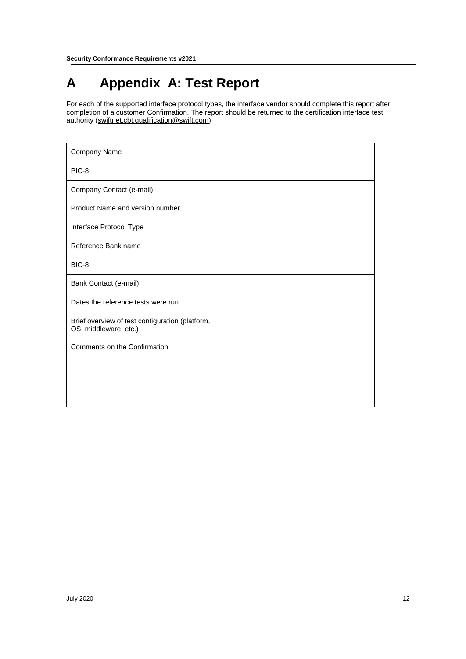# <span id="page-11-0"></span>**A Appendix A: Test Report**

For each of the supported interface protocol types, the interface vendor should complete this report after completion of a customer Confirmation. The report should be returned to the certification interface test authority (swiftnet.cbt.qualification@swift.com)

| Company Name                                                             |  |
|--------------------------------------------------------------------------|--|
| PIC-8                                                                    |  |
| Company Contact (e-mail)                                                 |  |
| Product Name and version number                                          |  |
| Interface Protocol Type                                                  |  |
| Reference Bank name                                                      |  |
| BIC-8                                                                    |  |
| Bank Contact (e-mail)                                                    |  |
| Dates the reference tests were run                                       |  |
| Brief overview of test configuration (platform,<br>OS, middleware, etc.) |  |
| Comments on the Confirmation                                             |  |
|                                                                          |  |
|                                                                          |  |
|                                                                          |  |